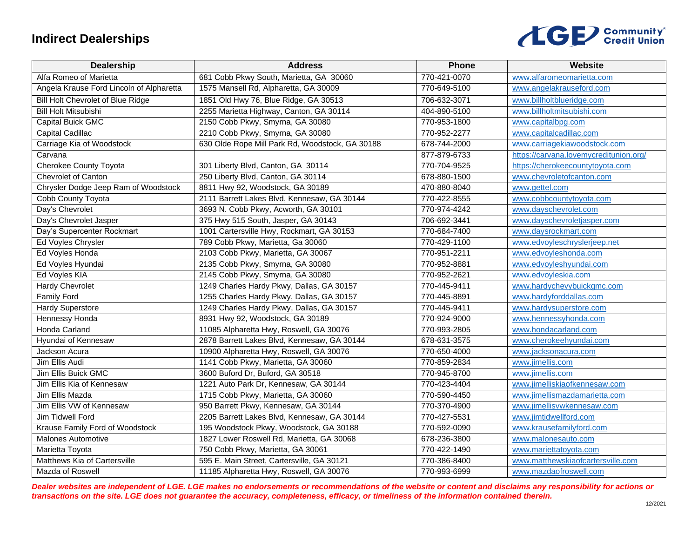## **Indirect Dealerships**



| Dealership                               | <b>Address</b>                                  | Phone        | Website                                |
|------------------------------------------|-------------------------------------------------|--------------|----------------------------------------|
| Alfa Romeo of Marietta                   | 681 Cobb Pkwy South, Marietta, GA 30060         | 770-421-0070 | www.alfaromeomarietta.com              |
| Angela Krause Ford Lincoln of Alpharetta | 1575 Mansell Rd, Alpharetta, GA 30009           | 770-649-5100 | www.angelakrauseford.com               |
| <b>Bill Holt Chevrolet of Blue Ridge</b> | 1851 Old Hwy 76, Blue Ridge, GA 30513           | 706-632-3071 | www.billholtblueridge.com              |
| <b>Bill Holt Mitsubishi</b>              | 2255 Marietta Highway, Canton, GA 30114         | 404-890-5100 | www.billholtmitsubishi.com             |
| Capital Buick GMC                        | 2150 Cobb Pkwy, Smyrna, GA 30080                | 770-953-1800 | www.capitalbpg.com                     |
| Capital Cadillac                         | 2210 Cobb Pkwy, Smyrna, GA 30080                | 770-952-2277 | www.capitalcadillac.com                |
| Carriage Kia of Woodstock                | 630 Olde Rope Mill Park Rd, Woodstock, GA 30188 | 678-744-2000 | www.carriagekiawoodstock.com           |
| Carvana                                  |                                                 | 877-879-6733 | https://carvana.lovemycreditunion.org/ |
| Cherokee County Toyota                   | 301 Liberty Blvd, Canton, GA 30114              | 770-704-9525 | https://cherokeecountytoyota.com       |
| Chevrolet of Canton                      | 250 Liberty Blvd, Canton, GA 30114              | 678-880-1500 | www.chevroletofcanton.com              |
| Chrysler Dodge Jeep Ram of Woodstock     | 8811 Hwy 92, Woodstock, GA 30189                | 470-880-8040 | www.gettel.com                         |
| Cobb County Toyota                       | 2111 Barrett Lakes Blvd, Kennesaw, GA 30144     | 770-422-8555 | www.cobbcountytoyota.com               |
| Day's Chevrolet                          | 3693 N. Cobb Pkwy, Acworth, GA 30101            | 770-974-4242 | www.dayschevrolet.com                  |
| Day's Chevrolet Jasper                   | 375 Hwy 515 South, Jasper, GA 30143             | 706-692-3441 | www.dayschevroletjasper.com            |
| Day's Supercenter Rockmart               | 1001 Cartersville Hwy, Rockmart, GA 30153       | 770-684-7400 | www.daysrockmart.com                   |
| Ed Voyles Chrysler                       | 789 Cobb Pkwy, Marietta, Ga 30060               | 770-429-1100 | www.edvoyleschryslerjeep.net           |
| Ed Voyles Honda                          | 2103 Cobb Pkwy, Marietta, GA 30067              | 770-951-2211 | www.edvoyleshonda.com                  |
| Ed Voyles Hyundai                        | 2135 Cobb Pkwy, Smyrna, GA 30080                | 770-952-8881 | www.edvoyleshyundai.com                |
| Ed Voyles KIA                            | 2145 Cobb Pkwy, Smyrna, GA 30080                | 770-952-2621 | www.edvoyleskia.com                    |
| Hardy Chevrolet                          | 1249 Charles Hardy Pkwy, Dallas, GA 30157       | 770-445-9411 | www.hardychevybuickgmc.com             |
| <b>Family Ford</b>                       | 1255 Charles Hardy Pkwy, Dallas, GA 30157       | 770-445-8891 | www.hardyforddallas.com                |
| <b>Hardy Superstore</b>                  | 1249 Charles Hardy Pkwy, Dallas, GA 30157       | 770-445-9411 | www.hardysuperstore.com                |
| Hennessy Honda                           | 8931 Hwy 92, Woodstock, GA 30189                | 770-924-9000 | www.hennessyhonda.com                  |
| Honda Carland                            | 11085 Alpharetta Hwy, Roswell, GA 30076         | 770-993-2805 | www.hondacarland.com                   |
| Hyundai of Kennesaw                      | 2878 Barrett Lakes Blvd, Kennesaw, GA 30144     | 678-631-3575 | www.cherokeehyundai.com                |
| Jackson Acura                            | 10900 Alpharetta Hwy, Roswell, GA 30076         | 770-650-4000 | www.jacksonacura.com                   |
| Jim Ellis Audi                           | 1141 Cobb Pkwy, Marietta, GA 30060              | 770-859-2834 | www.jimellis.com                       |
| Jim Ellis Buick GMC                      | 3600 Buford Dr, Buford, GA 30518                | 770-945-8700 | www.jimellis.com                       |
| Jim Ellis Kia of Kennesaw                | 1221 Auto Park Dr, Kennesaw, GA 30144           | 770-423-4404 | www.jimelliskiaofkennesaw.com          |
| Jim Ellis Mazda                          | 1715 Cobb Pkwy, Marietta, GA 30060              | 770-590-4450 | www.jimellismazdamarietta.com          |
| Jim Ellis VW of Kennesaw                 | 950 Barrett Pkwy, Kennesaw, GA 30144            | 770-370-4900 | www.jimellisvwkennesaw.com             |
| Jim Tidwell Ford                         | 2205 Barrett Lakes Blvd, Kennesaw, GA 30144     | 770-427-5531 | www.jimtidwellford.com                 |
| Krause Family Ford of Woodstock          | 195 Woodstock Pkwy, Woodstock, GA 30188         | 770-592-0090 | www.krausefamilyford.com               |
| <b>Malones Automotive</b>                | 1827 Lower Roswell Rd, Marietta, GA 30068       | 678-236-3800 | www.malonesauto.com                    |
| Marietta Toyota                          | 750 Cobb Pkwy, Marietta, GA 30061               | 770-422-1490 | www.mariettatoyota.com                 |
| Matthews Kia of Cartersville             | 595 E. Main Street, Cartersville, GA 30121      | 770-386-8400 | www.matthewskiaofcartersville.com      |
| Mazda of Roswell                         | 11185 Alpharetta Hwy, Roswell, GA 30076         | 770-993-6999 | www.mazdaofroswell.com                 |

*Dealer websites are independent of LGE. LGE makes no endorsements or recommendations of the website or content and disclaims any responsibility for actions or transactions on the site. LGE does not guarantee the accuracy, completeness, efficacy, or timeliness of the information contained therein.*